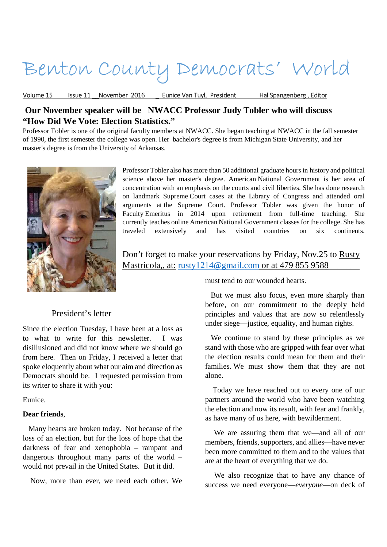# Benton County Democrats' World

Volume 15 Issue 11 November 2016 Eunice Van Tuyl, President Hal Spangenberg, Editor

# **Our November speaker will be NWACC Professor Judy Tobler who will discuss "How Did We Vote: Election Statistics."**

Professor Tobler is one of the original faculty members at NWACC. She began teaching at NWACC in the fall semester of 1990, the first semester the college was open. Her bachelor's degree is from Michigan State University, and her master's degree is from the University of Arkansas.



Professor Tobler also has more than 50 additional graduate hours in history and political science above her master's degree. American National Government is her area of concentration with an emphasis on the courts and civil liberties. She has done research on landmark Supreme Court cases at the Library of Congress and attended oral arguments at the Supreme Court. Professor Tobler was given the honor of Faculty Emeritus in 2014 upon retirement from full-time teaching. She currently teaches online American National Government classes for the college. She has traveled extensively and has visited countries on six continents.

Don't forget to make your reservations by Friday, Nov.25 to Rusty Mastricola,, at: rusty1214@gmail.com or at 479 855 9588\_\_\_\_\_\_\_

must tend to our wounded hearts.

## President's letter

Since the election Tuesday, I have been at a loss as to what to write for this newsletter. I was disillusioned and did not know where we should go from here. Then on Friday, I received a letter that spoke eloquently about what our aim and direction as Democrats should be. I requested permission from its writer to share it with you:

Eunice.

#### **Dear friends**,

 Many hearts are broken today. Not because of the loss of an election, but for the loss of hope that the darkness of fear and xenophobia – rampant and dangerous throughout many parts of the world – would not prevail in the United States. But it did.

Now, more than ever, we need each other. We

 But we must also focus, even more sharply than before, on our commitment to the deeply held principles and values that are now so relentlessly under siege—justice, equality, and human rights.

 We continue to stand by these principles as we stand with those who are gripped with fear over what the election results could mean for them and their families. We must show them that they are not alone.

 Today we have reached out to every one of our partners around the world who have been watching the election and now its result, with fear and frankly, as have many of us here, with bewilderment.

 We are assuring them that we—and all of our members, friends, supporters, and allies—have never been more committed to them and to the values that are at the heart of everything that we do.

 We also recognize that to have any chance of success we need everyone—*everyone*—on deck of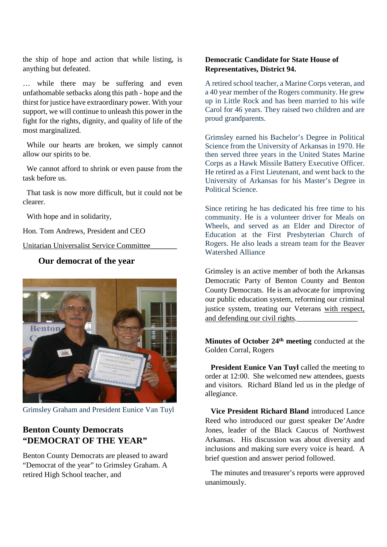the ship of hope and action that while listing, is anything but defeated.

… while there may be suffering and even unfathomable setbacks along this path - hope and the thirst for justice have extraordinary power. With your support, we will continue to unleash this power in the fight for the rights, dignity, and quality of life of the most marginalized.

 While our hearts are broken, we simply cannot allow our spirits to be.

 We cannot afford to shrink or even pause from the task before us.

 That task is now more difficult, but it could not be clearer.

With hope and in solidarity,

Hon. Tom Andrews, President and CEO

Unitarian Universalist Service Committee\_\_\_\_\_\_\_

# **Our democrat of the year**



Grimsley Graham and President Eunice Van Tuyl

# **Benton County Democrats "DEMOCRAT OF THE YEAR"**

Benton County Democrats are pleased to award "Democrat of the year" to Grimsley Graham. A retired High School teacher, and

### **Democratic Candidate for State House of Representatives, District 94.**

A retired school teacher, a Marine Corps veteran, and a 40 year member of the Rogers community. He grew up in Little Rock and has been married to his wife Carol for 46 years. They raised two children and are proud grandparents.

Grimsley earned his Bachelor's Degree in Political Science from the University of Arkansas in 1970. He then served three years in the United States Marine Corps as a Hawk Missile Battery Executive Officer. He retired as a First Lieutenant, and went back to the University of Arkansas for his Master's Degree in Political Science.

Since retiring he has dedicated his free time to his community. He is a volunteer driver for Meals on Wheels, and served as an Elder and Director of Education at the First Presbyterian Church of Rogers. He also leads a stream team for the Beaver Watershed Alliance

Grimsley is an active member of both the Arkansas Democratic Party of Benton County and Benton County Democrats. He is an advocate for improving our public education system, reforming our criminal justice system, treating our Veterans with respect, and defending our civil rights.

**Minutes of October 24th meeting** conducted at the Golden Corral, Rogers

**President Eunice Van Tuyl** called the meeting to order at 12:00. She welcomed new attendees, guests and visitors. Richard Bland led us in the pledge of allegiance.

 **Vice President Richard Bland** introduced Lance Reed who introduced our guest speaker De'Andre Jones, leader of the Black Caucus of Northwest Arkansas. His discussion was about diversity and inclusions and making sure every voice is heard. A brief question and answer period followed.

 The minutes and treasurer's reports were approved unanimously.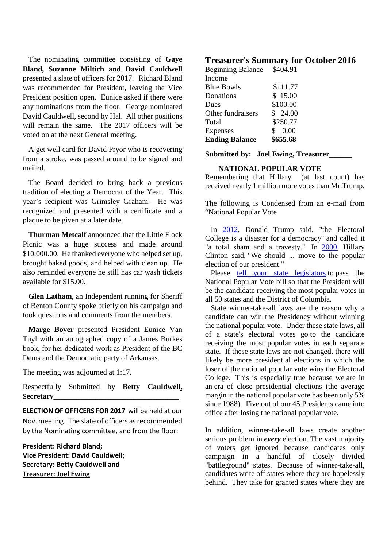The nominating committee consisting of **Gaye Bland, Suzanne Miltich and David Cauldwell** presented a slate of officers for 2017. Richard Bland was recommended for President, leaving the Vice President position open. Eunice asked if there were any nominations from the floor. George nominated David Cauldwell, second by Hal. All other positions will remain the same. The 2017 officers will be voted on at the next General meeting.

 A get well card for David Pryor who is recovering from a stroke, was passed around to be signed and mailed.

 The Board decided to bring back a previous tradition of electing a Democrat of the Year. This year's recipient was Grimsley Graham. He was recognized and presented with a certificate and a plaque to be given at a later date.

 **Thurman Metcalf** announced that the Little Flock Picnic was a huge success and made around \$10,000.00. He thanked everyone who helped set up, brought baked goods, and helped with clean up. He also reminded everyone he still has car wash tickets available for \$15.00.

 **Glen Latham**, an Independent running for Sheriff of Benton County spoke briefly on his campaign and took questions and comments from the members.

 **Marge Boyer** presented President Eunice Van Tuyl with an autographed copy of a James Burkes book, for her dedicated work as President of the BC Dems and the Democratic party of Arkansas.

The meeting was adjourned at 1:17.

Respectfully Submitted by **Betty Cauldwell, Secretary\_\_\_\_\_\_\_\_\_\_\_\_\_\_\_\_\_\_\_\_\_\_\_\_\_\_\_\_\_\_\_\_\_**

**ELECTION OF OFFICERS FOR 2017** will be held at our Nov. meeting. The slate of officers as recommended by the Nominating committee, and from the floor:

**President: Richard Bland; Vice President: David Cauldwell; Secretary: Betty Cauldwell and Treasurer: Joel Ewing**

## **Treasurer's Summary for October 2016**

| <b>Beginning Balance</b> | \$404.91 |
|--------------------------|----------|
| Income                   |          |
| <b>Blue Bowls</b>        | \$111.77 |
| Donations                | \$15.00  |
| Dues                     | \$100.00 |
| Other fundraisers        | \$24.00  |
| Total                    | \$250.77 |
| <b>Expenses</b>          | \$0.00   |
| <b>Ending Balance</b>    | \$655.68 |
|                          |          |

### **Submitted by: Joel Ewing, Treasurer\_\_\_\_\_\_**

#### **NATIONAL POPULAR VOTE**

Remembering that Hillary (at last count) has received nearly 1 million more votes than Mr.Trump.

The following is Condensed from an e-mail from "National Popular Vote

In 2012, Donald Trump said, "the Electoral College is a disaster for a democracy" and called it "a total sham and a travesty." In 2000, Hillary Clinton said, "We should ... move to the popular election of our president."

Please tell your state legislators to pass the National Popular Vote bill so that the President will be the candidate receiving the most popular votes in all 50 states and the District of Columbia.

 State winner-take-all laws are the reason why a candidate can win the Presidency without winning the national popular vote. Under these state laws, all of a state's electoral votes go to the candidate receiving the most popular votes in each separate state. If these state laws are not changed, there will likely be more presidential elections in which the loser of the national popular vote wins the Electoral College. This is especially true because we are in an era of close presidential elections (the average margin in the national popular vote has been only 5% since 1988). Five out of our 45 Presidents came into office after losing the national popular vote.

In addition, winner-take-all laws create another serious problem in *every* election. The vast majority of voters get ignored because candidates only campaign in a handful of closely divided "battleground" states. Because of winner-take-all, candidates write off states where they are hopelessly behind. They take for granted states where they are